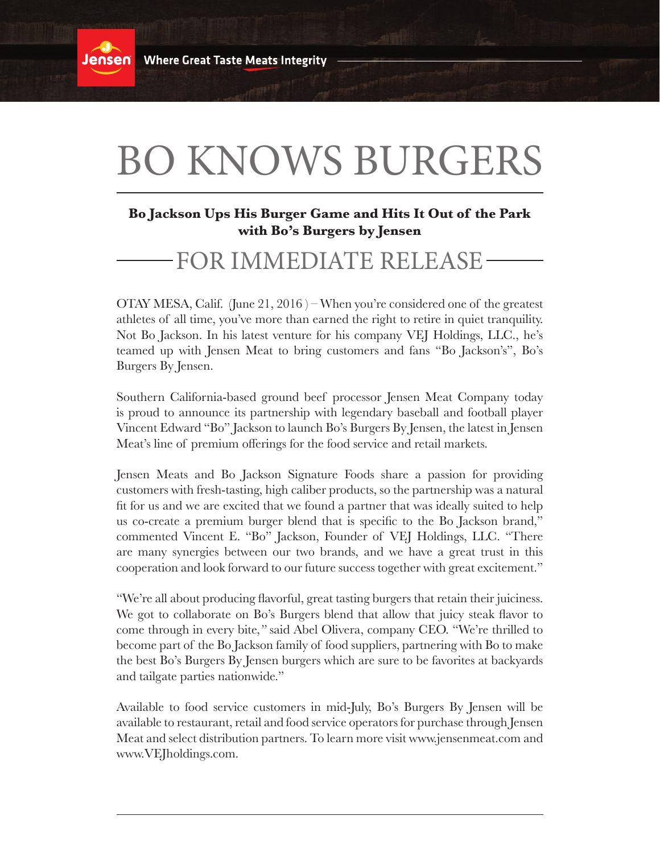**Where Great Taste Meats Integrity** Jensen

# BO KNOWS BURGERS

### **Bo Jackson Ups His Burger Game and Hits It Out of the Park with Bo's Burgers by Jensen**

## FOR IMMEDIATE RELEASE

OTAY MESA, Calif. (June 21, 2016) – When you're considered one of the greatest athletes of all time, you've more than earned the right to retire in quiet tranquility. Not Bo Jackson. In his latest venture for his company VEJ Holdings, LLC., he's teamed up with Jensen Meat to bring customers and fans "Bo Jackson's", Bo's Burgers By Jensen.

Southern California-based ground beef processor Jensen Meat Company today is proud to announce its partnership with legendary baseball and football player Vincent Edward "Bo" Jackson to launch Bo's Burgers By Jensen, the latest in Jensen Meat's line of premium offerings for the food service and retail markets.

Jensen Meats and Bo Jackson Signature Foods share a passion for providing customers with fresh-tasting, high caliber products, so the partnership was a natural fit for us and we are excited that we found a partner that was ideally suited to help us co-create a premium burger blend that is specific to the Bo Jackson brand," commented Vincent E. "Bo" Jackson, Founder of VEJ Holdings, LLC. "There are many synergies between our two brands, and we have a great trust in this cooperation and look forward to our future success together with great excitement."

"We're all about producing flavorful, great tasting burgers that retain their juiciness. We got to collaborate on Bo's Burgers blend that allow that juicy steak flavor to come through in every bite,*"* said Abel Olivera, company CEO. "We're thrilled to become part of the Bo Jackson family of food suppliers, partnering with Bo to make the best Bo's Burgers By Jensen burgers which are sure to be favorites at backyards and tailgate parties nationwide."

Available to food service customers in mid-July, Bo's Burgers By Jensen will be available to restaurant, retail and food service operators for purchase through Jensen Meat and select distribution partners. To learn more visit www.jensenmeat.com and www.VEJholdings.com.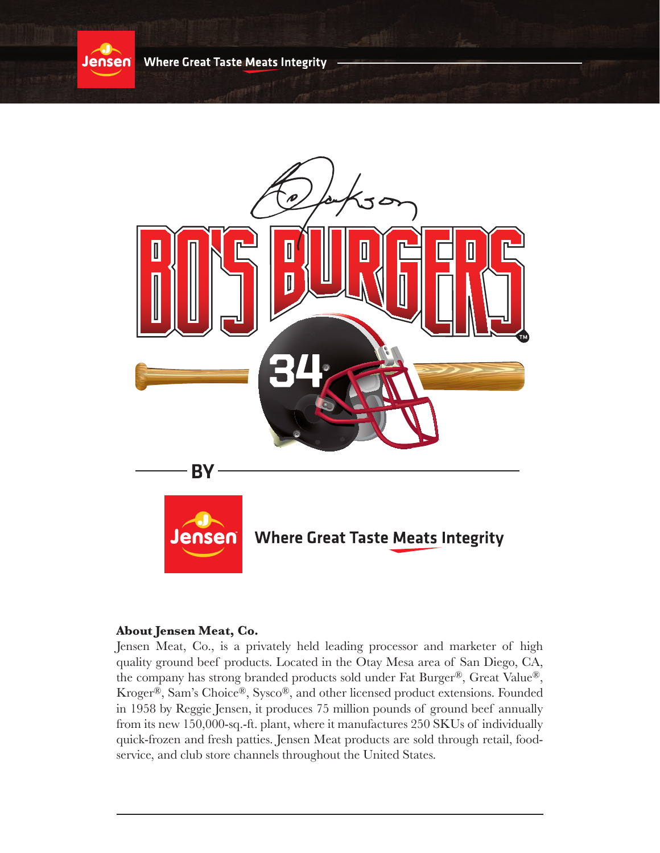



#### **About Jensen Meat, Co.**

Jensen Meat, Co., is a privately held leading processor and marketer of high quality ground beef products. Located in the Otay Mesa area of San Diego, CA, the company has strong branded products sold under Fat Burger®, Great Value®, Kroger®, Sam's Choice®, Sysco®, and other licensed product extensions. Founded in 1958 by Reggie Jensen, it produces 75 million pounds of ground beef annually from its new 150,000-sq.-ft. plant, where it manufactures 250 SKUs of individually quick-frozen and fresh patties. Jensen Meat products are sold through retail, foodservice, and club store channels throughout the United States.